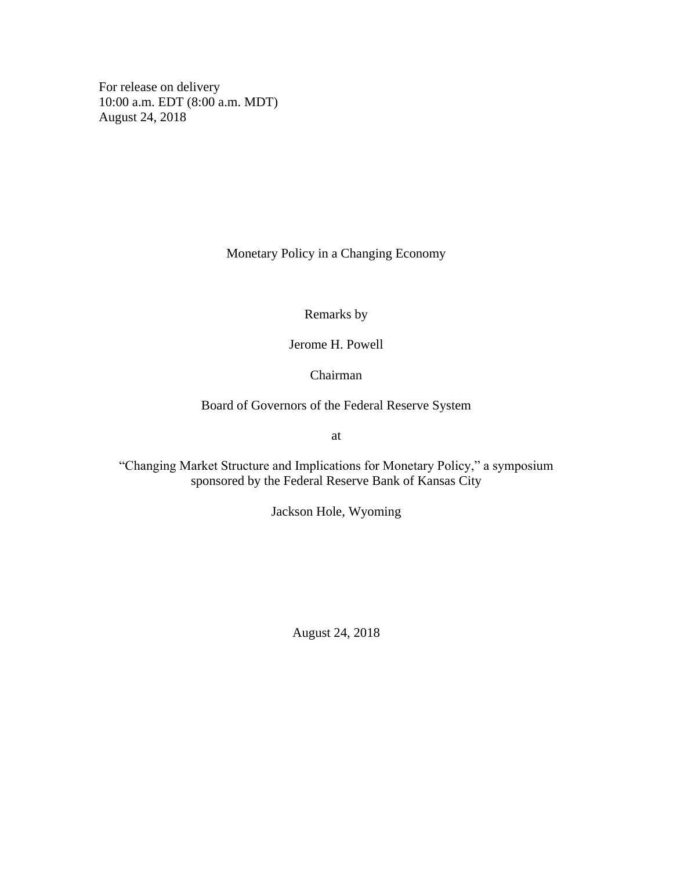For release on delivery 10:00 a.m. EDT (8:00 a.m. MDT) August 24, 2018

Monetary Policy in a Changing Economy

Remarks by

Jerome H. Powell

Chairman

Board of Governors of the Federal Reserve System

at

"Changing Market Structure and Implications for Monetary Policy," a symposium sponsored by the Federal Reserve Bank of Kansas City

Jackson Hole, Wyoming

August 24, 2018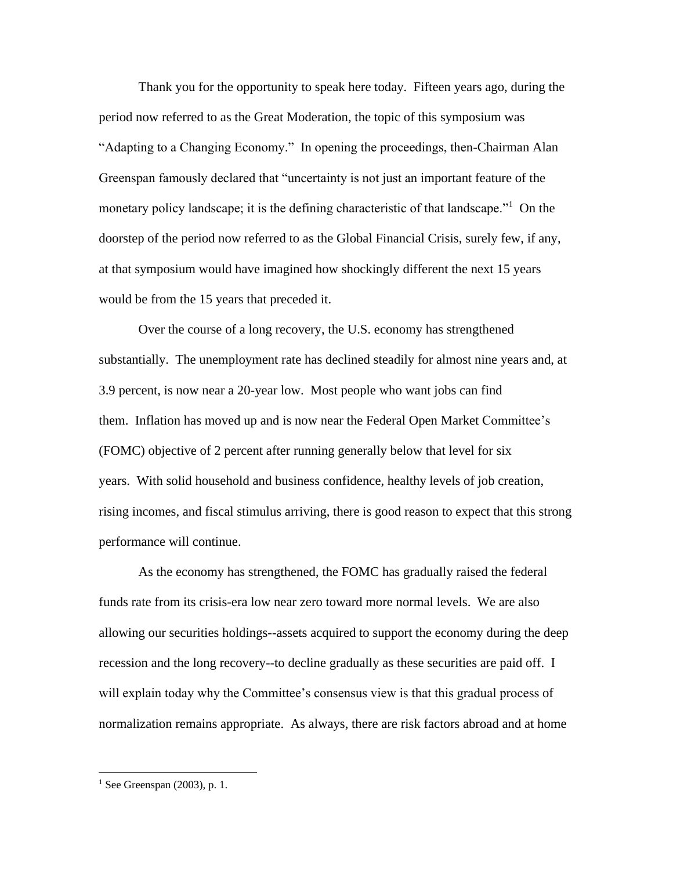Thank you for the opportunity to speak here today. Fifteen years ago, during the period now referred to as the Great Moderation, the topic of this symposium was "Adapting to a Changing Economy." In opening the proceedings, then-Chairman Alan Greenspan famously declared that "uncertainty is not just an important feature of the monetary policy landscape; it is the defining characteristic of that landscape."<sup>1</sup> On the doorstep of the period now referred to as the Global Financial Crisis, surely few, if any, at that symposium would have imagined how shockingly different the next 15 years would be from the 15 years that preceded it.

Over the course of a long recovery, the U.S. economy has strengthened substantially. The unemployment rate has declined steadily for almost nine years and, at 3.9 percent, is now near a 20-year low. Most people who want jobs can find them. Inflation has moved up and is now near the Federal Open Market Committee's (FOMC) objective of 2 percent after running generally below that level for six years. With solid household and business confidence, healthy levels of job creation, rising incomes, and fiscal stimulus arriving, there is good reason to expect that this strong performance will continue.

As the economy has strengthened, the FOMC has gradually raised the federal funds rate from its crisis-era low near zero toward more normal levels. We are also allowing our securities holdings--assets acquired to support the economy during the deep recession and the long recovery--to decline gradually as these securities are paid off. I will explain today why the Committee's consensus view is that this gradual process of normalization remains appropriate. As always, there are risk factors abroad and at home

 $<sup>1</sup>$  See Greenspan (2003), p. 1.</sup>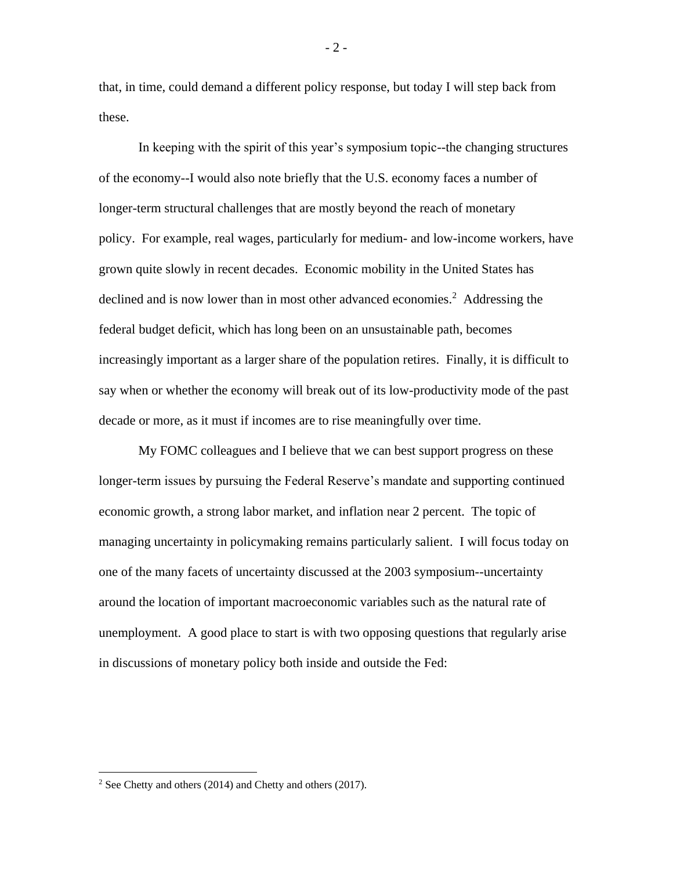that, in time, could demand a different policy response, but today I will step back from these.

In keeping with the spirit of this year's symposium topic--the changing structures of the economy--I would also note briefly that the U.S. economy faces a number of longer-term structural challenges that are mostly beyond the reach of monetary policy. For example, real wages, particularly for medium- and low-income workers, have grown quite slowly in recent decades. Economic mobility in the United States has declined and is now lower than in most other advanced economies.<sup>2</sup> Addressing the federal budget deficit, which has long been on an unsustainable path, becomes increasingly important as a larger share of the population retires. Finally, it is difficult to say when or whether the economy will break out of its low-productivity mode of the past decade or more, as it must if incomes are to rise meaningfully over time.

My FOMC colleagues and I believe that we can best support progress on these longer-term issues by pursuing the Federal Reserve's mandate and supporting continued economic growth, a strong labor market, and inflation near 2 percent. The topic of managing uncertainty in policymaking remains particularly salient. I will focus today on one of the many facets of uncertainty discussed at the 2003 symposium--uncertainty around the location of important macroeconomic variables such as the natural rate of unemployment. A good place to start is with two opposing questions that regularly arise in discussions of monetary policy both inside and outside the Fed:

- 2 -

 $2$  See Chetty and others (2014) and Chetty and others (2017).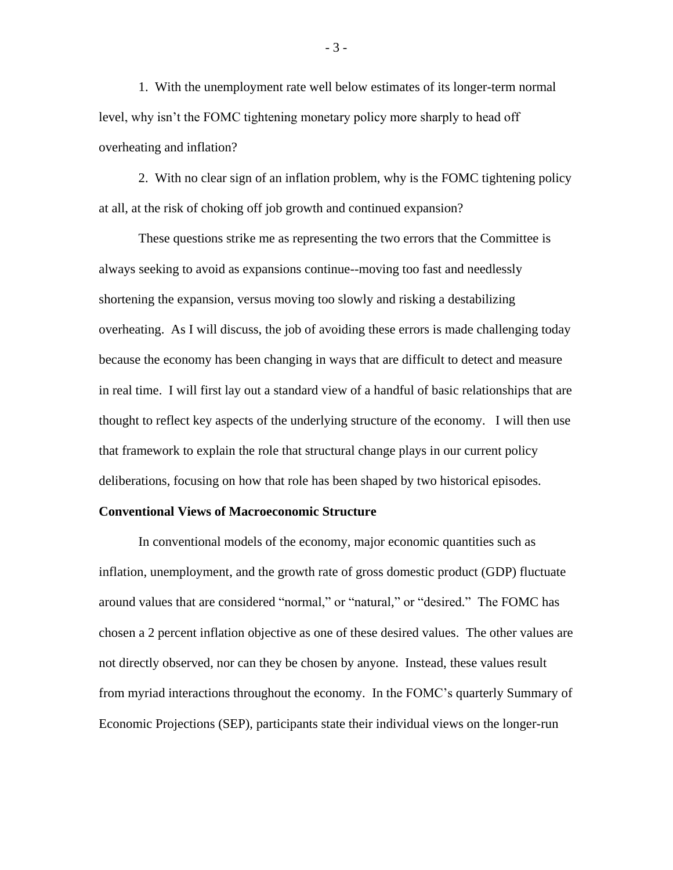1. With the unemployment rate well below estimates of its longer-term normal level, why isn't the FOMC tightening monetary policy more sharply to head off overheating and inflation?

2. With no clear sign of an inflation problem, why is the FOMC tightening policy at all, at the risk of choking off job growth and continued expansion?

These questions strike me as representing the two errors that the Committee is always seeking to avoid as expansions continue--moving too fast and needlessly shortening the expansion, versus moving too slowly and risking a destabilizing overheating. As I will discuss, the job of avoiding these errors is made challenging today because the economy has been changing in ways that are difficult to detect and measure in real time. I will first lay out a standard view of a handful of basic relationships that are thought to reflect key aspects of the underlying structure of the economy. I will then use that framework to explain the role that structural change plays in our current policy deliberations, focusing on how that role has been shaped by two historical episodes.

#### **Conventional Views of Macroeconomic Structure**

In conventional models of the economy, major economic quantities such as inflation, unemployment, and the growth rate of gross domestic product (GDP) fluctuate around values that are considered "normal," or "natural," or "desired." The FOMC has chosen a 2 percent inflation objective as one of these desired values. The other values are not directly observed, nor can they be chosen by anyone. Instead, these values result from myriad interactions throughout the economy. In the FOMC's quarterly Summary of Economic Projections (SEP), participants state their individual views on the longer-run

- 3 -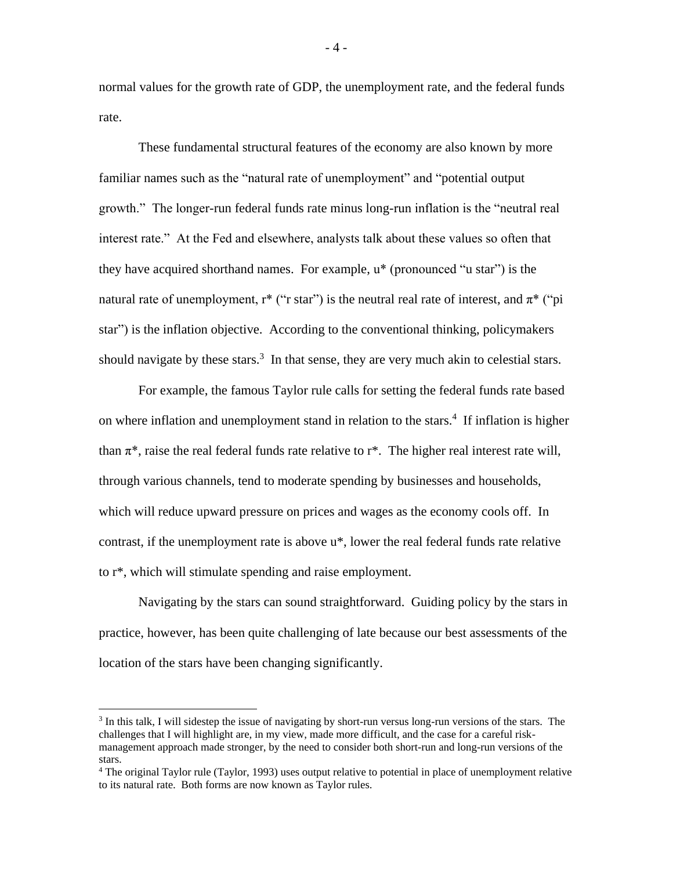normal values for the growth rate of GDP, the unemployment rate, and the federal funds rate.

These fundamental structural features of the economy are also known by more familiar names such as the "natural rate of unemployment" and "potential output growth." The longer-run federal funds rate minus long-run inflation is the "neutral real interest rate." At the Fed and elsewhere, analysts talk about these values so often that they have acquired shorthand names. For example, u\* (pronounced "u star") is the natural rate of unemployment, r<sup>\*</sup> ("r star") is the neutral real rate of interest, and  $\pi^*$  ("pi star") is the inflation objective. According to the conventional thinking, policymakers should navigate by these stars. $3 \text{ In that sense, they are very much akin to celestial stars.}$ 

For example, the famous Taylor rule calls for setting the federal funds rate based on where inflation and unemployment stand in relation to the stars.<sup>4</sup> If inflation is higher than  $\pi^*$ , raise the real federal funds rate relative to  $r^*$ . The higher real interest rate will, through various channels, tend to moderate spending by businesses and households, which will reduce upward pressure on prices and wages as the economy cools off. In contrast, if the unemployment rate is above u\*, lower the real federal funds rate relative to r\*, which will stimulate spending and raise employment.

Navigating by the stars can sound straightforward. Guiding policy by the stars in practice, however, has been quite challenging of late because our best assessments of the location of the stars have been changing significantly.

 $\overline{a}$ 

- 4 -

<sup>&</sup>lt;sup>3</sup> In this talk, I will sidestep the issue of navigating by short-run versus long-run versions of the stars. The challenges that I will highlight are, in my view, made more difficult, and the case for a careful riskmanagement approach made stronger, by the need to consider both short-run and long-run versions of the stars.

<sup>4</sup> The original Taylor rule (Taylor, 1993) uses output relative to potential in place of unemployment relative to its natural rate. Both forms are now known as Taylor rules.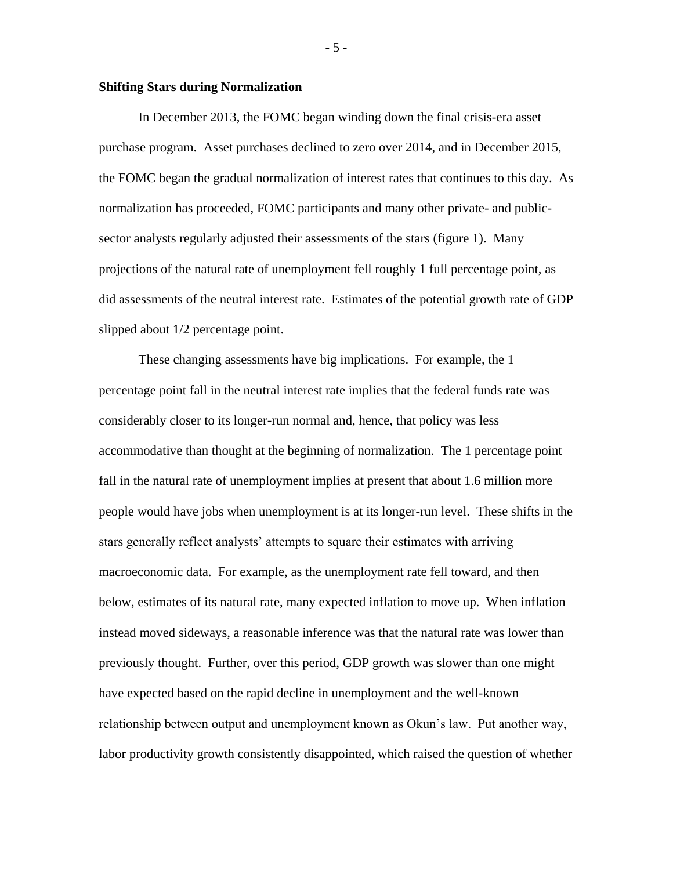#### **Shifting Stars during Normalization**

In December 2013, the FOMC began winding down the final crisis-era asset purchase program. Asset purchases declined to zero over 2014, and in December 2015, the FOMC began the gradual normalization of interest rates that continues to this day. As normalization has proceeded, FOMC participants and many other private- and publicsector analysts regularly adjusted their assessments of the stars (figure 1). Many projections of the natural rate of unemployment fell roughly 1 full percentage point, as did assessments of the neutral interest rate. Estimates of the potential growth rate of GDP slipped about 1/2 percentage point.

These changing assessments have big implications. For example, the 1 percentage point fall in the neutral interest rate implies that the federal funds rate was considerably closer to its longer-run normal and, hence, that policy was less accommodative than thought at the beginning of normalization. The 1 percentage point fall in the natural rate of unemployment implies at present that about 1.6 million more people would have jobs when unemployment is at its longer-run level. These shifts in the stars generally reflect analysts' attempts to square their estimates with arriving macroeconomic data. For example, as the unemployment rate fell toward, and then below, estimates of its natural rate, many expected inflation to move up. When inflation instead moved sideways, a reasonable inference was that the natural rate was lower than previously thought. Further, over this period, GDP growth was slower than one might have expected based on the rapid decline in unemployment and the well-known relationship between output and unemployment known as Okun's law. Put another way, labor productivity growth consistently disappointed, which raised the question of whether

- 5 -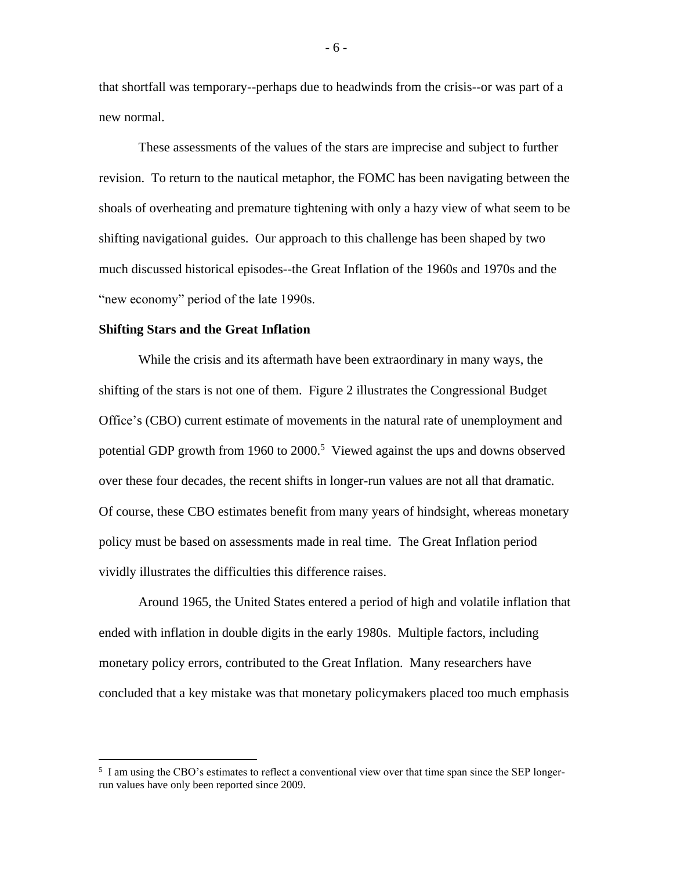that shortfall was temporary--perhaps due to headwinds from the crisis--or was part of a new normal.

These assessments of the values of the stars are imprecise and subject to further revision. To return to the nautical metaphor, the FOMC has been navigating between the shoals of overheating and premature tightening with only a hazy view of what seem to be shifting navigational guides. Our approach to this challenge has been shaped by two much discussed historical episodes--the Great Inflation of the 1960s and 1970s and the "new economy" period of the late 1990s.

#### **Shifting Stars and the Great Inflation**

 $\overline{a}$ 

While the crisis and its aftermath have been extraordinary in many ways, the shifting of the stars is not one of them. Figure 2 illustrates the Congressional Budget Office's (CBO) current estimate of movements in the natural rate of unemployment and potential GDP growth from 1960 to 2000.<sup>5</sup> Viewed against the ups and downs observed over these four decades, the recent shifts in longer-run values are not all that dramatic. Of course, these CBO estimates benefit from many years of hindsight, whereas monetary policy must be based on assessments made in real time. The Great Inflation period vividly illustrates the difficulties this difference raises.

Around 1965, the United States entered a period of high and volatile inflation that ended with inflation in double digits in the early 1980s. Multiple factors, including monetary policy errors, contributed to the Great Inflation. Many researchers have concluded that a key mistake was that monetary policymakers placed too much emphasis

- 6 -

<sup>&</sup>lt;sup>5</sup> I am using the CBO's estimates to reflect a conventional view over that time span since the SEP longerrun values have only been reported since 2009.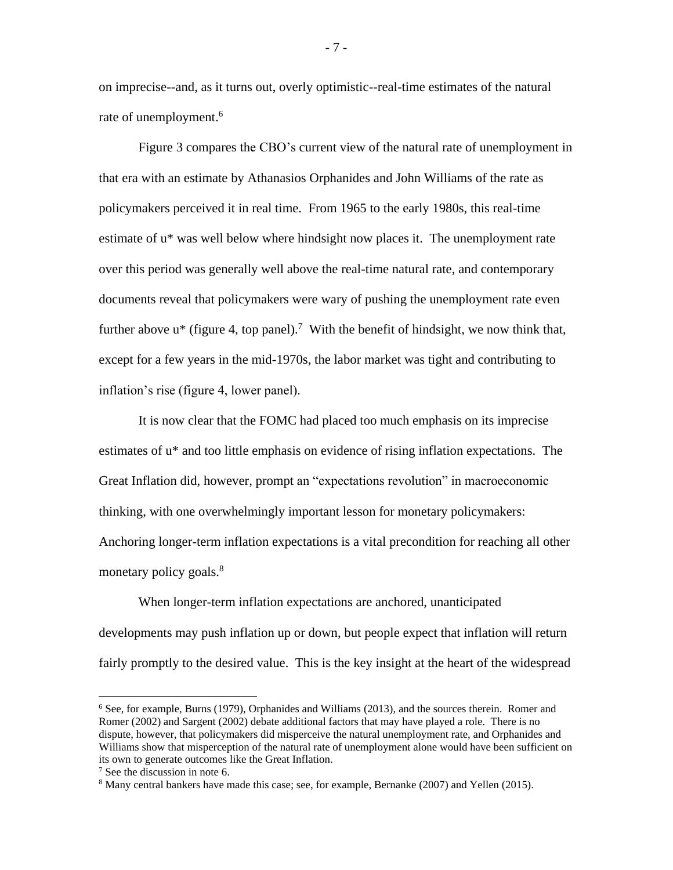on imprecise--and, as it turns out, overly optimistic--real-time estimates of the natural rate of unemployment.<sup>6</sup>

Figure 3 compares the CBO's current view of the natural rate of unemployment in that era with an estimate by Athanasios Orphanides and John Williams of the rate as policymakers perceived it in real time. From 1965 to the early 1980s, this real-time estimate of u\* was well below where hindsight now places it. The unemployment rate over this period was generally well above the real-time natural rate, and contemporary documents reveal that policymakers were wary of pushing the unemployment rate even further above  $u^*$  (figure 4, top panel).<sup>7</sup> With the benefit of hindsight, we now think that, except for a few years in the mid-1970s, the labor market was tight and contributing to inflation's rise (figure 4, lower panel).

It is now clear that the FOMC had placed too much emphasis on its imprecise estimates of u\* and too little emphasis on evidence of rising inflation expectations. The Great Inflation did, however, prompt an "expectations revolution" in macroeconomic thinking, with one overwhelmingly important lesson for monetary policymakers: Anchoring longer-term inflation expectations is a vital precondition for reaching all other monetary policy goals.<sup>8</sup>

When longer-term inflation expectations are anchored, unanticipated developments may push inflation up or down, but people expect that inflation will return fairly promptly to the desired value. This is the key insight at the heart of the widespread

<sup>6</sup> See, for example, Burns (1979), Orphanides and Williams (2013), and the sources therein. Romer and Romer (2002) and Sargent (2002) debate additional factors that may have played a role. There is no dispute, however, that policymakers did misperceive the natural unemployment rate, and Orphanides and Williams show that misperception of the natural rate of unemployment alone would have been sufficient on its own to generate outcomes like the Great Inflation.

<sup>7</sup> See the discussion in note 6.

<sup>8</sup> Many central bankers have made this case; see, for example, Bernanke (2007) and Yellen (2015).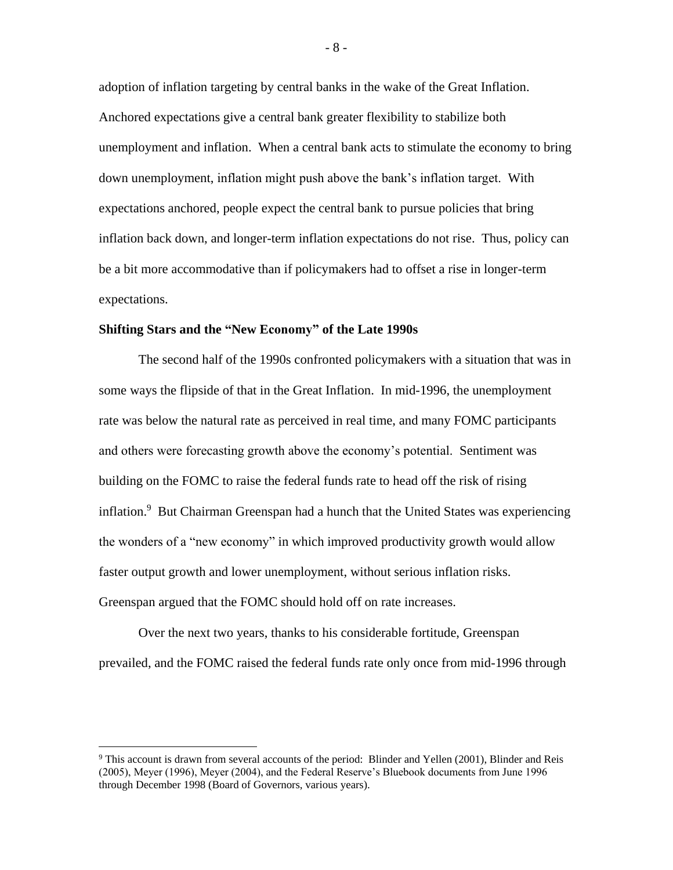adoption of inflation targeting by central banks in the wake of the Great Inflation. Anchored expectations give a central bank greater flexibility to stabilize both unemployment and inflation. When a central bank acts to stimulate the economy to bring down unemployment, inflation might push above the bank's inflation target. With expectations anchored, people expect the central bank to pursue policies that bring inflation back down, and longer-term inflation expectations do not rise. Thus, policy can be a bit more accommodative than if policymakers had to offset a rise in longer-term expectations.

#### **Shifting Stars and the "New Economy" of the Late 1990s**

The second half of the 1990s confronted policymakers with a situation that was in some ways the flipside of that in the Great Inflation. In mid-1996, the unemployment rate was below the natural rate as perceived in real time, and many FOMC participants and others were forecasting growth above the economy's potential. Sentiment was building on the FOMC to raise the federal funds rate to head off the risk of rising inflation.<sup>9</sup> But Chairman Greenspan had a hunch that the United States was experiencing the wonders of a "new economy" in which improved productivity growth would allow faster output growth and lower unemployment, without serious inflation risks. Greenspan argued that the FOMC should hold off on rate increases.

Over the next two years, thanks to his considerable fortitude, Greenspan prevailed, and the FOMC raised the federal funds rate only once from mid-1996 through

<sup>9</sup> This account is drawn from several accounts of the period: Blinder and Yellen (2001), Blinder and Reis (2005), Meyer (1996), Meyer (2004), and the Federal Reserve's Bluebook documents from June 1996 through December 1998 (Board of Governors, various years).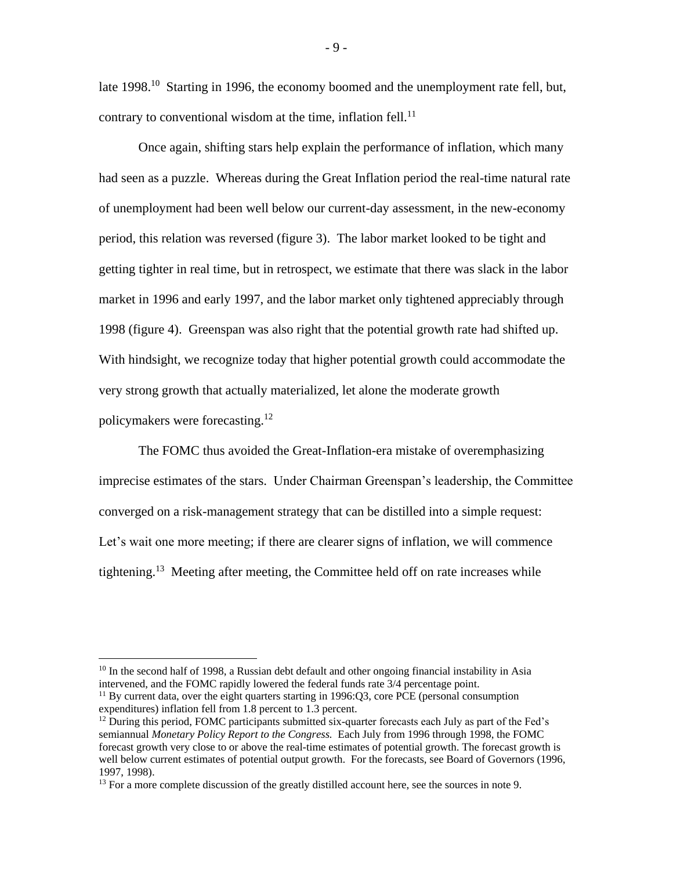late 1998.<sup>10</sup> Starting in 1996, the economy boomed and the unemployment rate fell, but, contrary to conventional wisdom at the time, inflation fell. $^{11}$ 

Once again, shifting stars help explain the performance of inflation, which many had seen as a puzzle. Whereas during the Great Inflation period the real-time natural rate of unemployment had been well below our current-day assessment, in the new-economy period, this relation was reversed (figure 3). The labor market looked to be tight and getting tighter in real time, but in retrospect, we estimate that there was slack in the labor market in 1996 and early 1997, and the labor market only tightened appreciably through 1998 (figure 4). Greenspan was also right that the potential growth rate had shifted up. With hindsight, we recognize today that higher potential growth could accommodate the very strong growth that actually materialized, let alone the moderate growth policymakers were forecasting.<sup>12</sup>

The FOMC thus avoided the Great-Inflation-era mistake of overemphasizing imprecise estimates of the stars. Under Chairman Greenspan's leadership, the Committee converged on a risk-management strategy that can be distilled into a simple request: Let's wait one more meeting; if there are clearer signs of inflation, we will commence tightening.<sup>13</sup> Meeting after meeting, the Committee held off on rate increases while

<sup>&</sup>lt;sup>10</sup> In the second half of 1998, a Russian debt default and other ongoing financial instability in Asia intervened, and the FOMC rapidly lowered the federal funds rate 3/4 percentage point.

<sup>&</sup>lt;sup>11</sup> By current data, over the eight quarters starting in 1996:Q3, core PCE (personal consumption expenditures) inflation fell from 1.8 percent to 1.3 percent.

 $12$  During this period, FOMC participants submitted six-quarter forecasts each July as part of the Fed's semiannual *Monetary Policy Report to the Congress.* Each July from 1996 through 1998, the FOMC forecast growth very close to or above the real-time estimates of potential growth. The forecast growth is well below current estimates of potential output growth. For the forecasts, see Board of Governors (1996, 1997, 1998).

<sup>&</sup>lt;sup>13</sup> For a more complete discussion of the greatly distilled account here, see the sources in note 9.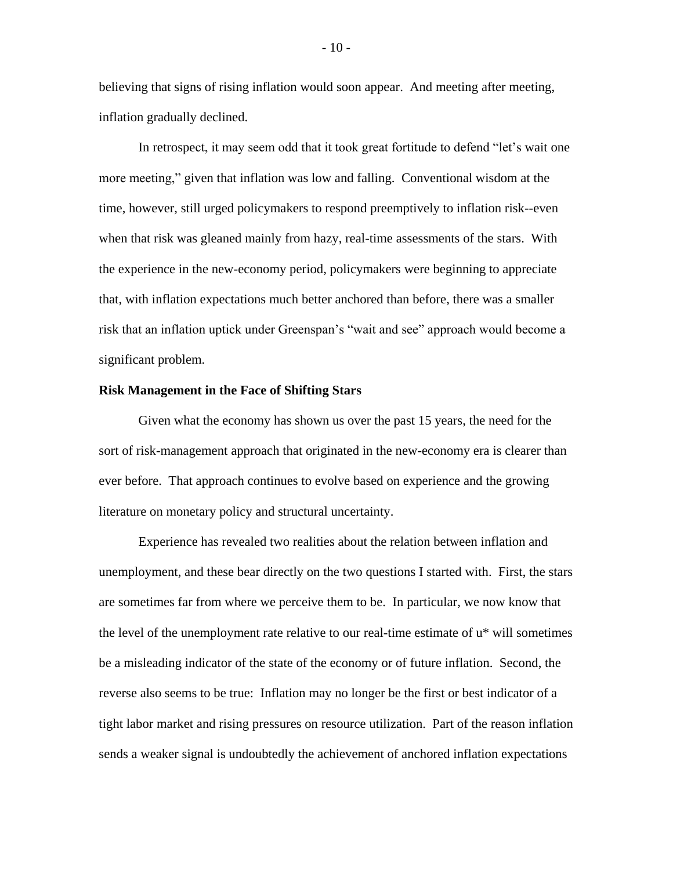believing that signs of rising inflation would soon appear. And meeting after meeting, inflation gradually declined.

In retrospect, it may seem odd that it took great fortitude to defend "let's wait one more meeting," given that inflation was low and falling. Conventional wisdom at the time, however, still urged policymakers to respond preemptively to inflation risk--even when that risk was gleaned mainly from hazy, real-time assessments of the stars. With the experience in the new-economy period, policymakers were beginning to appreciate that, with inflation expectations much better anchored than before, there was a smaller risk that an inflation uptick under Greenspan's "wait and see" approach would become a significant problem.

#### **Risk Management in the Face of Shifting Stars**

Given what the economy has shown us over the past 15 years, the need for the sort of risk-management approach that originated in the new-economy era is clearer than ever before. That approach continues to evolve based on experience and the growing literature on monetary policy and structural uncertainty.

Experience has revealed two realities about the relation between inflation and unemployment, and these bear directly on the two questions I started with. First, the stars are sometimes far from where we perceive them to be. In particular, we now know that the level of the unemployment rate relative to our real-time estimate of  $u^*$  will sometimes be a misleading indicator of the state of the economy or of future inflation. Second, the reverse also seems to be true: Inflation may no longer be the first or best indicator of a tight labor market and rising pressures on resource utilization. Part of the reason inflation sends a weaker signal is undoubtedly the achievement of anchored inflation expectations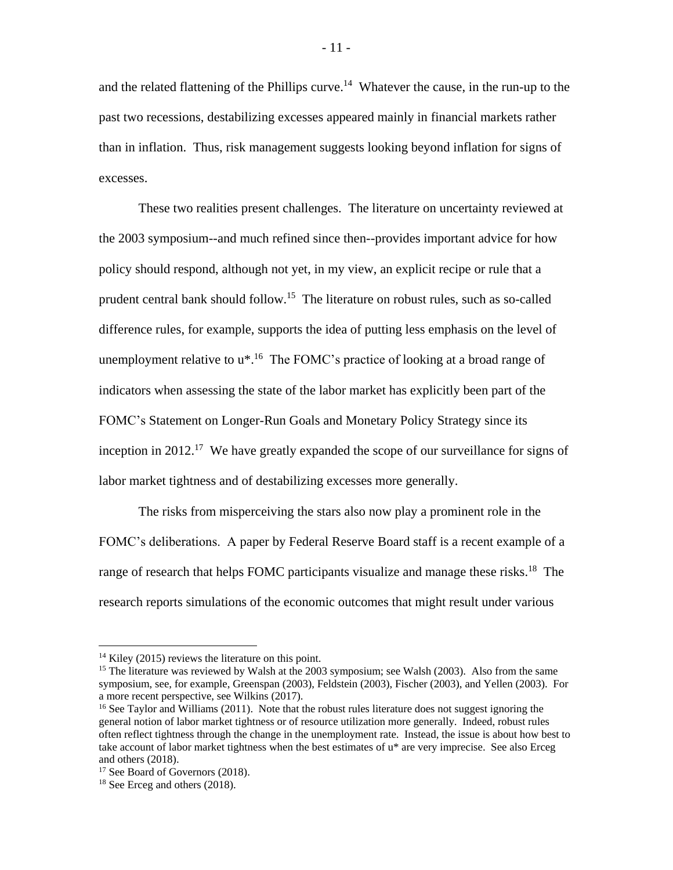and the related flattening of the Phillips curve.<sup>14</sup> Whatever the cause, in the run-up to the past two recessions, destabilizing excesses appeared mainly in financial markets rather than in inflation. Thus, risk management suggests looking beyond inflation for signs of excesses.

These two realities present challenges. The literature on uncertainty reviewed at the 2003 symposium--and much refined since then--provides important advice for how policy should respond, although not yet, in my view, an explicit recipe or rule that a prudent central bank should follow.<sup>15</sup> The literature on robust rules, such as so-called difference rules, for example, supports the idea of putting less emphasis on the level of unemployment relative to  $u^*$ .<sup>16</sup> The FOMC's practice of looking at a broad range of indicators when assessing the state of the labor market has explicitly been part of the FOMC's Statement on Longer-Run Goals and Monetary Policy Strategy since its inception in 2012.<sup>17</sup> We have greatly expanded the scope of our surveillance for signs of labor market tightness and of destabilizing excesses more generally.

The risks from misperceiving the stars also now play a prominent role in the FOMC's deliberations. A paper by Federal Reserve Board staff is a recent example of a range of research that helps FOMC participants visualize and manage these risks.<sup>18</sup> The research reports simulations of the economic outcomes that might result under various

<sup>&</sup>lt;sup>14</sup> Kiley (2015) reviews the literature on this point.

<sup>&</sup>lt;sup>15</sup> The literature was reviewed by Walsh at the 2003 symposium; see Walsh (2003). Also from the same symposium, see, for example, Greenspan (2003), Feldstein (2003), Fischer (2003), and Yellen (2003). For a more recent perspective, see Wilkins (2017).

<sup>&</sup>lt;sup>16</sup> See Taylor and Williams (2011). Note that the robust rules literature does not suggest ignoring the general notion of labor market tightness or of resource utilization more generally. Indeed, robust rules often reflect tightness through the change in the unemployment rate. Instead, the issue is about how best to take account of labor market tightness when the best estimates of u\* are very imprecise. See also Erceg and others (2018).

<sup>&</sup>lt;sup>17</sup> See Board of Governors (2018).

<sup>18</sup> See Erceg and others (2018).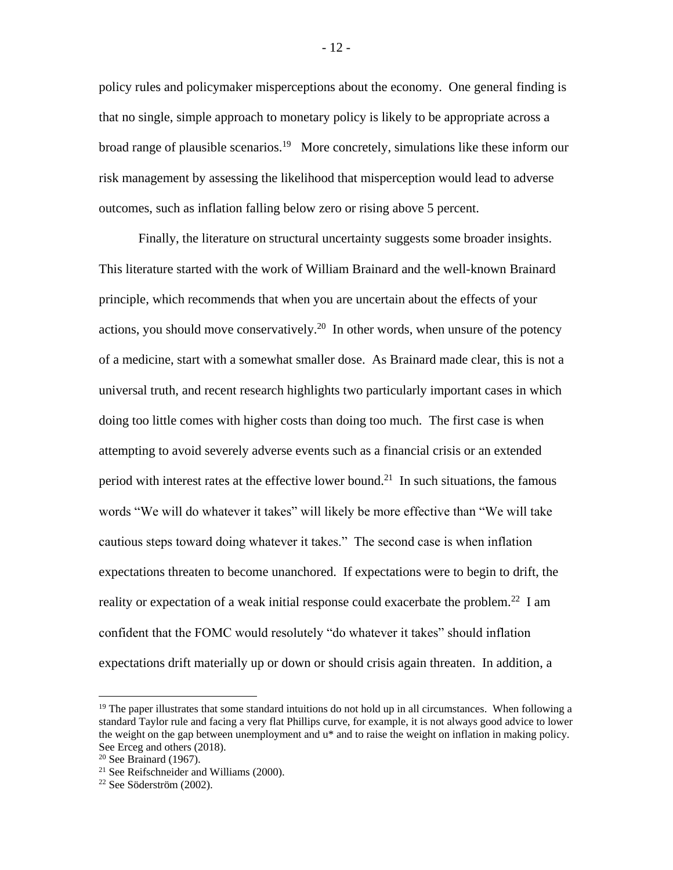policy rules and policymaker misperceptions about the economy. One general finding is that no single, simple approach to monetary policy is likely to be appropriate across a broad range of plausible scenarios.<sup>19</sup> More concretely, simulations like these inform our risk management by assessing the likelihood that misperception would lead to adverse outcomes, such as inflation falling below zero or rising above 5 percent.

Finally, the literature on structural uncertainty suggests some broader insights. This literature started with the work of William Brainard and the well-known Brainard principle, which recommends that when you are uncertain about the effects of your actions, you should move conservatively.<sup>20</sup> In other words, when unsure of the potency of a medicine, start with a somewhat smaller dose. As Brainard made clear, this is not a universal truth, and recent research highlights two particularly important cases in which doing too little comes with higher costs than doing too much. The first case is when attempting to avoid severely adverse events such as a financial crisis or an extended period with interest rates at the effective lower bound.<sup>21</sup> In such situations, the famous words "We will do whatever it takes" will likely be more effective than "We will take cautious steps toward doing whatever it takes." The second case is when inflation expectations threaten to become unanchored. If expectations were to begin to drift, the reality or expectation of a weak initial response could exacerbate the problem.<sup>22</sup> I am confident that the FOMC would resolutely "do whatever it takes" should inflation expectations drift materially up or down or should crisis again threaten. In addition, a

<sup>&</sup>lt;sup>19</sup> The paper illustrates that some standard intuitions do not hold up in all circumstances. When following a standard Taylor rule and facing a very flat Phillips curve, for example, it is not always good advice to lower the weight on the gap between unemployment and u\* and to raise the weight on inflation in making policy. See Erceg and others (2018).

 $20$  See Brainard (1967).

<sup>21</sup> See Reifschneider and Williams (2000).

<sup>22</sup> See Söderström (2002).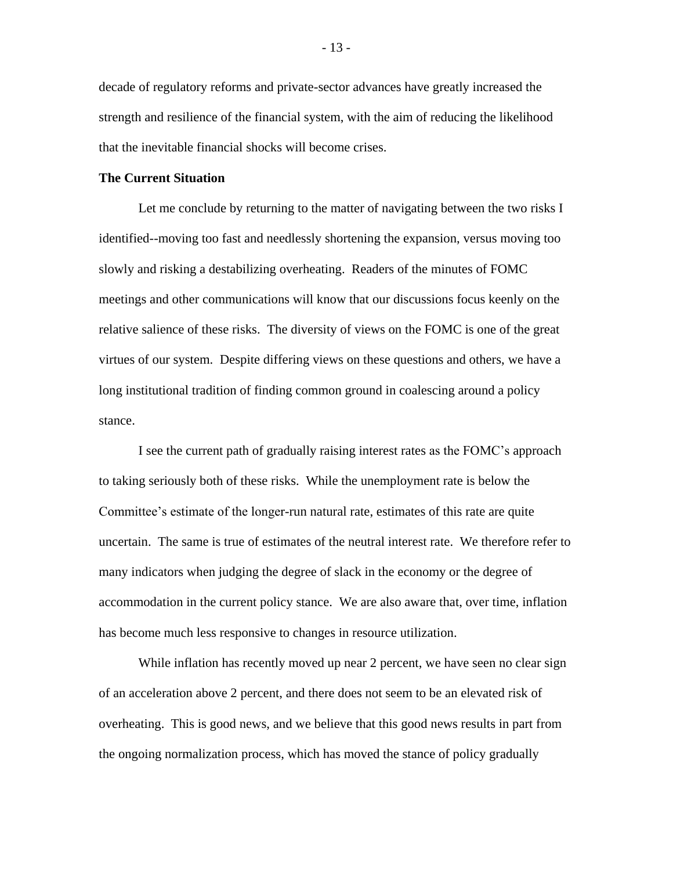decade of regulatory reforms and private-sector advances have greatly increased the strength and resilience of the financial system, with the aim of reducing the likelihood that the inevitable financial shocks will become crises.

#### **The Current Situation**

Let me conclude by returning to the matter of navigating between the two risks I identified--moving too fast and needlessly shortening the expansion, versus moving too slowly and risking a destabilizing overheating. Readers of the minutes of FOMC meetings and other communications will know that our discussions focus keenly on the relative salience of these risks. The diversity of views on the FOMC is one of the great virtues of our system. Despite differing views on these questions and others, we have a long institutional tradition of finding common ground in coalescing around a policy stance.

I see the current path of gradually raising interest rates as the FOMC's approach to taking seriously both of these risks. While the unemployment rate is below the Committee's estimate of the longer-run natural rate, estimates of this rate are quite uncertain. The same is true of estimates of the neutral interest rate. We therefore refer to many indicators when judging the degree of slack in the economy or the degree of accommodation in the current policy stance. We are also aware that, over time, inflation has become much less responsive to changes in resource utilization.

While inflation has recently moved up near 2 percent, we have seen no clear sign of an acceleration above 2 percent, and there does not seem to be an elevated risk of overheating. This is good news, and we believe that this good news results in part from the ongoing normalization process, which has moved the stance of policy gradually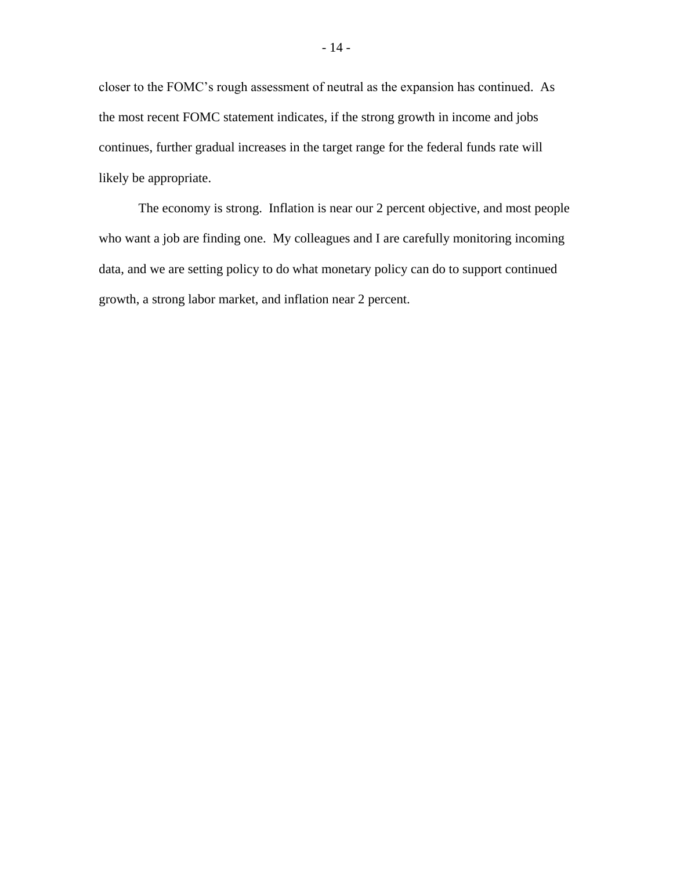closer to the FOMC's rough assessment of neutral as the expansion has continued. As the most recent FOMC statement indicates, if the strong growth in income and jobs continues, further gradual increases in the target range for the federal funds rate will likely be appropriate.

The economy is strong. Inflation is near our 2 percent objective, and most people who want a job are finding one. My colleagues and I are carefully monitoring incoming data, and we are setting policy to do what monetary policy can do to support continued growth, a strong labor market, and inflation near 2 percent.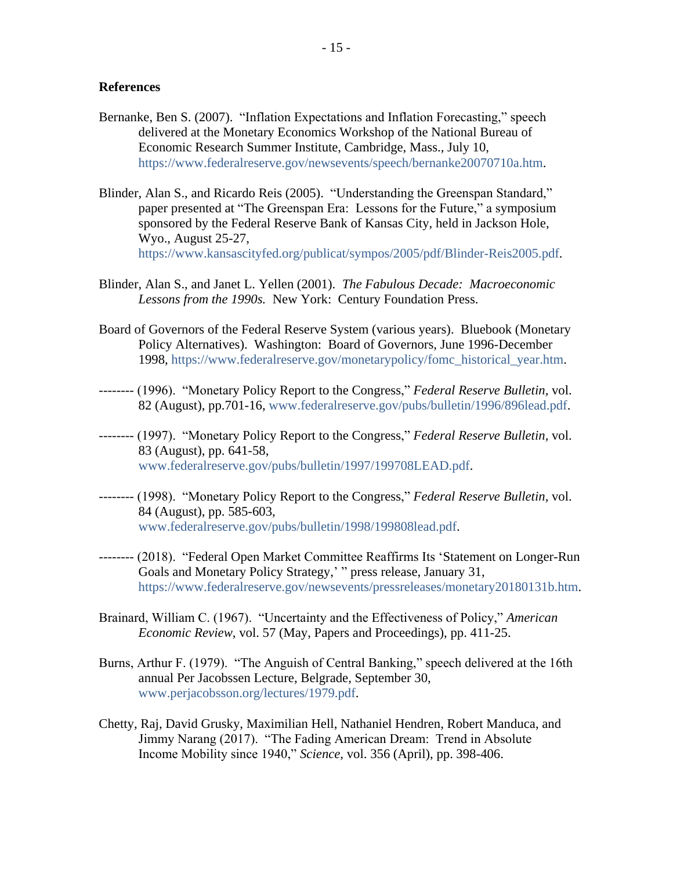#### **References**

- Bernanke, Ben S. (2007). "Inflation Expectations and Inflation Forecasting," speech delivered at the Monetary Economics Workshop of the National Bureau of Economic Research Summer Institute, Cambridge, Mass., July 10, [https://www.federalreserve.gov/newsevents/speech/bernanke20070710a.htm.](https://www.federalreserve.gov/newsevents/speech/bernanke20070710a.htm)
- Blinder, Alan S., and Ricardo Reis (2005). "Understanding the Greenspan Standard," paper presented at "The Greenspan Era: Lessons for the Future," a symposium sponsored by the Federal Reserve Bank of Kansas City, held in Jackson Hole, Wyo., August 25-27, [https://www.kansascityfed.org/publicat/sympos/2005/pdf/Blinder-Reis2005.pdf.](https://www.kansascityfed.org/publicat/sympos/2005/pdf/Blinder-Reis2005.pdf)
- Blinder, Alan S., and Janet L. Yellen (2001). *The Fabulous Decade: Macroeconomic Lessons from the 1990s.* New York: Century Foundation Press.
- Board of Governors of the Federal Reserve System (various years). Bluebook (Monetary Policy Alternatives). Washington: Board of Governors, June 1996-December 1998, [https://www.federalreserve.gov/monetarypolicy/fomc\\_historical\\_year.htm.](https://www.federalreserve.gov/monetarypolicy/fomc_historical_year.htm)
- -------- (1996). "Monetary Policy Report to the Congress," *Federal Reserve Bulletin,* vol. 82 (August), pp.701-16, [www.federalreserve.gov/pubs/bulletin/1996/896lead.pdf.](http://www.federalreserve.gov/pubs/bulletin/1996/896lead.pdf)
- -------- (1997). "Monetary Policy Report to the Congress," *Federal Reserve Bulletin,* vol. 83 (August), pp. 641-58, [www.federalreserve.gov/pubs/bulletin/1997/199708LEAD.pdf.](http://www.federalreserve.gov/pubs/bulletin/1997/199708LEAD.pdf)
- -------- (1998). "Monetary Policy Report to the Congress," *Federal Reserve Bulletin,* vol. 84 (August), pp. 585-603, [www.federalreserve.gov/pubs/bulletin/1998/199808lead.pdf.](http://www.federalreserve.gov/pubs/bulletin/1998/199808lead.pdf)
- -------- (2018). "Federal Open Market Committee Reaffirms Its 'Statement on Longer-Run Goals and Monetary Policy Strategy,' " press release, January 31, [https://www.federalreserve.gov/newsevents/pressreleases/monetary20180131b.htm.](https://www.federalreserve.gov/newsevents/pressreleases/monetary20180131b.htm)
- Brainard, William C. (1967). "Uncertainty and the Effectiveness of Policy," *American Economic Review,* vol. 57 (May, Papers and Proceedings), pp. 411-25.
- Burns, Arthur F. (1979). "The Anguish of Central Banking," speech delivered at the 16th annual Per Jacobssen Lecture, Belgrade, September 30, [www.perjacobsson.org/lectures/1979.pdf.](http://www.perjacobsson.org/lectures/1979.pdf)
- Chetty, Raj, David Grusky, Maximilian Hell, Nathaniel Hendren, Robert Manduca, and Jimmy Narang (2017). "The Fading American Dream: Trend in Absolute Income Mobility since 1940," *Science,* vol. 356 (April), pp. 398-406.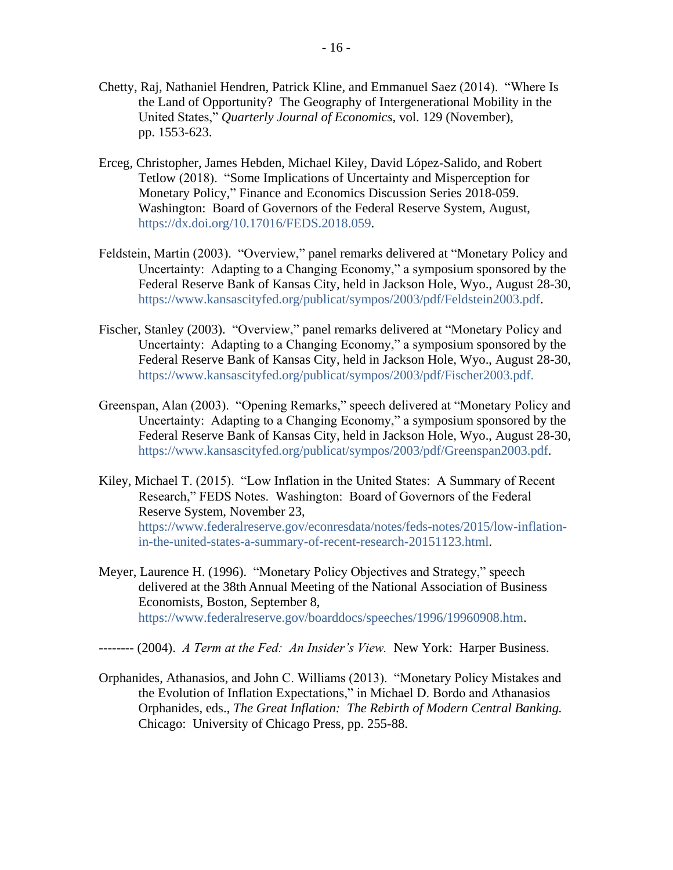- Chetty, Raj, Nathaniel Hendren, Patrick Kline, and Emmanuel Saez (2014). "Where Is the Land of Opportunity? The Geography of Intergenerational Mobility in the United States," *Quarterly Journal of Economics,* vol. 129 (November), pp. 1553-623.
- Erceg, Christopher, James Hebden, Michael Kiley, David López-Salido, and Robert Tetlow (2018). "Some Implications of Uncertainty and Misperception for Monetary Policy," Finance and Economics Discussion Series 2018-059. Washington: Board of Governors of the Federal Reserve System, August, [https://dx.doi.org/10.17016/FEDS.2018.059.](https://dx.doi.org/10.17016/FEDS.2018.059)
- Feldstein, Martin (2003). "Overview," panel remarks delivered at "Monetary Policy and Uncertainty: Adapting to a Changing Economy," a symposium sponsored by the Federal Reserve Bank of Kansas City, held in Jackson Hole, Wyo., August 28-30, [https://www.kansascityfed.org/publicat/sympos/2003/pdf/Feldstein2003.pdf.](https://www.kansascityfed.org/publicat/sympos/2003/pdf/Feldstein2003.pdf)
- Fischer, Stanley (2003). "Overview," panel remarks delivered at "Monetary Policy and Uncertainty: Adapting to a Changing Economy," a symposium sponsored by the Federal Reserve Bank of Kansas City, held in Jackson Hole, Wyo., August 28-30, [https://www.kansascityfed.org/publicat/sympos/2003/pdf/Fischer2003.pdf.](https://www.kansascityfed.org/publicat/sympos/2003/pdf/Fischer2003.pdf)
- Greenspan, Alan (2003). "Opening Remarks," speech delivered at "Monetary Policy and Uncertainty: Adapting to a Changing Economy," a symposium sponsored by the Federal Reserve Bank of Kansas City, held in Jackson Hole, Wyo., August 28-30, [https://www.kansascityfed.org/publicat/sympos/2003/pdf/Greenspan2003.pdf.](https://www.kansascityfed.org/publicat/sympos/2003/pdf/Greenspan2003.pdf)
- Kiley, Michael T. (2015). "Low Inflation in the United States: A Summary of Recent Research," FEDS Notes. Washington: Board of Governors of the Federal Reserve System, November 23, [https://www.federalreserve.gov/econresdata/notes/feds-notes/2015/low-inflation](https://www.federalreserve.gov/econresdata/notes/feds-notes/2015/low-inflation-in-the-united-states-a-summary-of-recent-research-20151123.html)[in-the-united-states-a-summary-of-recent-research-20151123.html.](https://www.federalreserve.gov/econresdata/notes/feds-notes/2015/low-inflation-in-the-united-states-a-summary-of-recent-research-20151123.html)
- Meyer, Laurence H. (1996). "Monetary Policy Objectives and Strategy," speech delivered at the 38th Annual Meeting of the National Association of Business Economists, Boston, September 8, [https://www.federalreserve.gov/boarddocs/speeches/1996/19960908.htm.](https://www.federalreserve.gov/boarddocs/speeches/1996/19960908.htm)
- -------- (2004). *A Term at the Fed: An Insider's View.* New York: Harper Business.
- Orphanides, Athanasios, and John C. Williams (2013). "Monetary Policy Mistakes and the Evolution of Inflation Expectations," in Michael D. Bordo and Athanasios Orphanides, eds., *The Great Inflation: The Rebirth of Modern Central Banking.* Chicago: University of Chicago Press, pp. 255-88.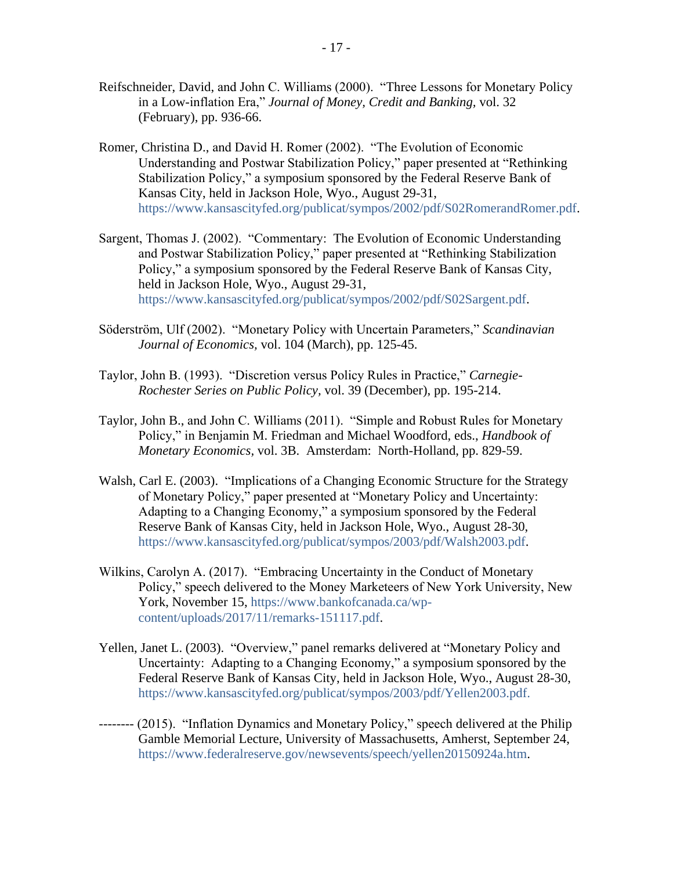- Reifschneider, David, and John C. Williams (2000). "Three Lessons for Monetary Policy in a Low-inflation Era," *Journal of Money, Credit and Banking,* vol. 32 (February), pp. 936-66.
- Romer, Christina D., and David H. Romer (2002). "The Evolution of Economic Understanding and Postwar Stabilization Policy," paper presented at "Rethinking Stabilization Policy," a symposium sponsored by the Federal Reserve Bank of Kansas City, held in Jackson Hole, Wyo., August 29-31, [https://www.kansascityfed.org/publicat/sympos/2002/pdf/S02RomerandRomer.pdf.](https://www.kansascityfed.org/publicat/sympos/2002/pdf/S02RomerandRomer.pdf)
- Sargent, Thomas J. (2002). "Commentary: The Evolution of Economic Understanding and Postwar Stabilization Policy," paper presented at "Rethinking Stabilization Policy," a symposium sponsored by the Federal Reserve Bank of Kansas City, held in Jackson Hole, Wyo., August 29-31, [https://www.kansascityfed.org/publicat/sympos/2002/pdf/S02Sargent.pdf.](https://www.kansascityfed.org/publicat/sympos/2002/pdf/S02Sargent.pdf)
- Söderström, Ulf (2002). "Monetary Policy with Uncertain Parameters," *Scandinavian Journal of Economics,* vol. 104 (March), pp. 125-45.
- Taylor, John B. (1993). "Discretion versus Policy Rules in Practice," *Carnegie-Rochester Series on Public Policy,* vol. 39 (December), pp. 195-214.
- Taylor, John B., and John C. Williams (2011). "Simple and Robust Rules for Monetary Policy," in Benjamin M. Friedman and Michael Woodford, eds., *Handbook of Monetary Economics,* vol. 3B.Amsterdam: North-Holland, pp. 829-59.
- Walsh, Carl E. (2003). "Implications of a Changing Economic Structure for the Strategy of Monetary Policy," paper presented at "Monetary Policy and Uncertainty: Adapting to a Changing Economy," a symposium sponsored by the Federal Reserve Bank of Kansas City, held in Jackson Hole, Wyo., August 28-30, [https://www.kansascityfed.org/publicat/sympos/2003/pdf/Walsh2003.pdf.](https://www.kansascityfed.org/publicat/sympos/2003/pdf/Walsh2003.pdf)
- Wilkins, Carolyn A. (2017). "Embracing Uncertainty in the Conduct of Monetary Policy," speech delivered to the Money Marketeers of New York University, New York, November 15, [https://www.bankofcanada.ca/wp](https://www.bankofcanada.ca/wp-content/uploads/2017/11/remarks-151117.pdf)[content/uploads/2017/11/remarks-151117.pdf.](https://www.bankofcanada.ca/wp-content/uploads/2017/11/remarks-151117.pdf)
- Yellen, Janet L. (2003). "Overview," panel remarks delivered at "Monetary Policy and Uncertainty: Adapting to a Changing Economy," a symposium sponsored by the Federal Reserve Bank of Kansas City, held in Jackson Hole, Wyo., August 28-30, [https://www.kansascityfed.org/publicat/sympos/2003/pdf/Yellen2003.pdf.](https://www.kansascityfed.org/publicat/sympos/2003/pdf/Yellen2003.pdf)
- -------- (2015). "Inflation Dynamics and Monetary Policy," speech delivered at the Philip Gamble Memorial Lecture, University of Massachusetts, Amherst, September 24, [https://www.federalreserve.gov/newsevents/speech/yellen20150924a.htm.](https://www.federalreserve.gov/newsevents/speech/yellen20150924a.htm)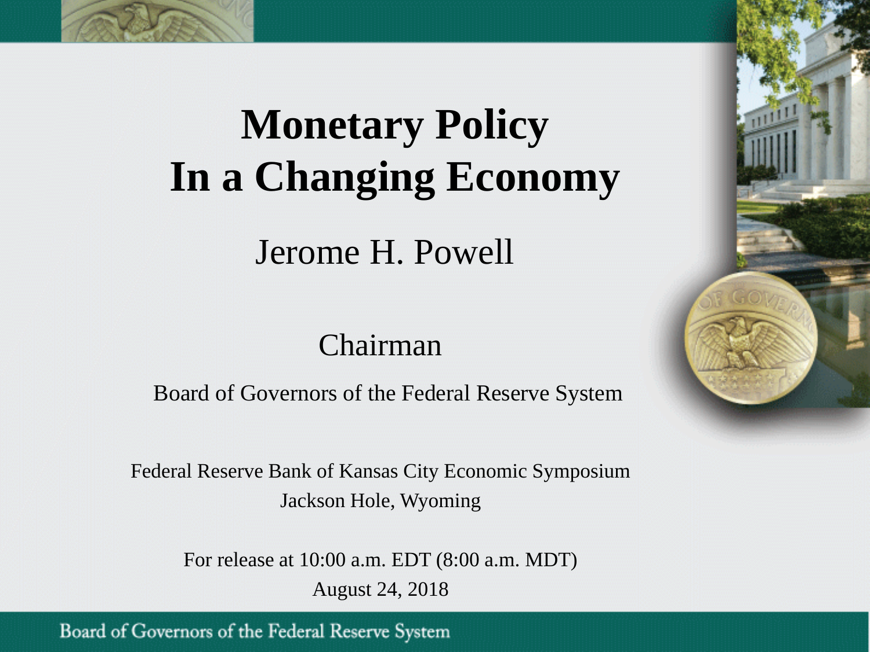

# **Monetary Policy In a Changing Economy**

Jerome H. Powell

# Chairman

Board of Governors of the Federal Reserve System

Federal Reserve Bank of Kansas City Economic Symposium Jackson Hole, Wyoming

> For release at 10:00 a.m. EDT (8:00 a.m. MDT) August 24, 2018

Board of Governors of the Federal Reserve System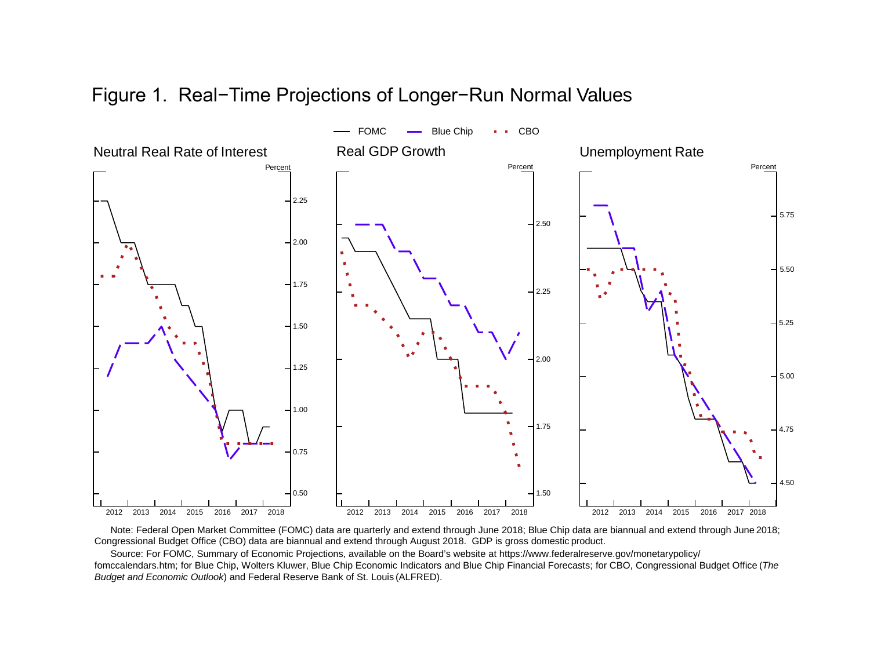## Figure 1. Real−Time Projections of Longer−Run Normal Values



Note: Federal Open Market Committee (FOMC) data are quarterly and extend through June 2018; Blue Chip data are biannual and extend through June 2018; Congressional Budget Office (CBO) data are biannual and extend through August 2018. GDP is gross domestic product.

Source: For FOMC, Summary of Economic Projections, available on the Board's website at https://www.federalreserve.gov/monetarypolicy/ fomccalendars.htm; for Blue Chip, Wolters Kluwer, Blue Chip Economic Indicators and Blue Chip Financial Forecasts; for CBO, Congressional Budget Office (*The Budget and Economic Outlook*) and Federal Reserve Bank of St. Louis (ALFRED).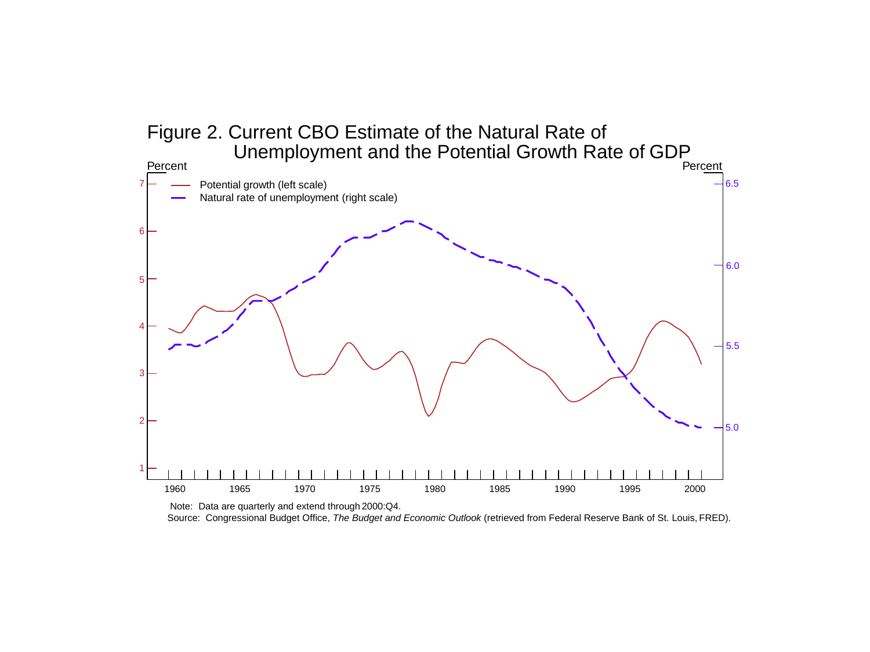

Source: Congressional Budget Office, *The Budget and Economic Outlook* (retrieved from Federal Reserve Bank of St. Louis, FRED).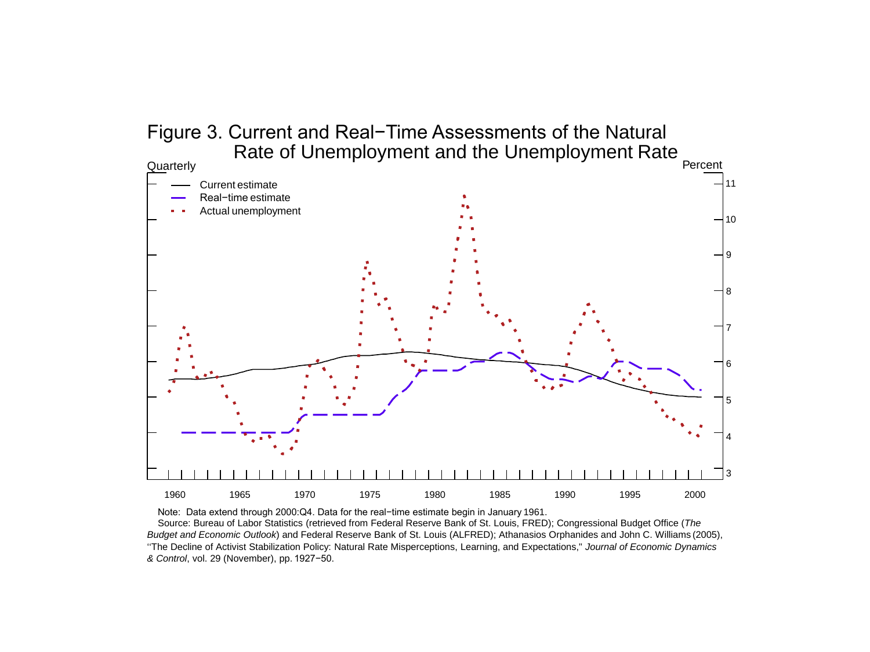### Figure 3. Current and Real−Time Assessments of the Natural Rate of Unemployment and the Unemployment Rate



Note: Data extend through 2000:Q4. Data for the real−time estimate begin in January 1961. Source: Bureau of Labor Statistics (retrieved from Federal Reserve Bank of St. Louis, FRED); Congressional Budget Office (*The Budget and Economic Outlook*) and Federal Reserve Bank of St. Louis (ALFRED); Athanasios Orphanides and John C. Williams (2005), ''The Decline of Activist Stabilization Policy: Natural Rate Misperceptions, Learning, and Expectations," *Journal of Economic Dynamics & Control*, vol. 29 (November), pp. 1927−50.